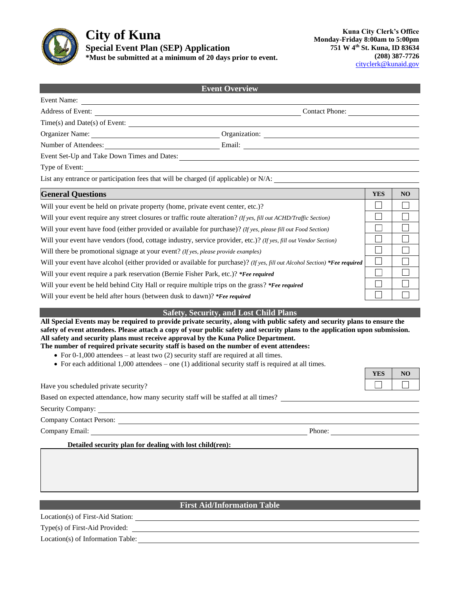

# **City of Kuna Special Event Plan (SEP) Application \*Must be submitted at a minimum of 20 days prior to event.**

| <b>Event Overview</b>                                                                                                                                                                                                                                     |  |            |                |  |  |  |
|-----------------------------------------------------------------------------------------------------------------------------------------------------------------------------------------------------------------------------------------------------------|--|------------|----------------|--|--|--|
| Event Name:                                                                                                                                                                                                                                               |  |            |                |  |  |  |
| Address of Event: Contact Phone: Contact Phone:                                                                                                                                                                                                           |  |            |                |  |  |  |
|                                                                                                                                                                                                                                                           |  |            |                |  |  |  |
| Organizer Name: Organization: Organization:                                                                                                                                                                                                               |  |            |                |  |  |  |
| Number of Attendees: <u>Communications</u> Email: Communications Communications Communications Communications Communications Communications Communications Communications Communications Communications Communications Communicatio                       |  |            |                |  |  |  |
|                                                                                                                                                                                                                                                           |  |            |                |  |  |  |
|                                                                                                                                                                                                                                                           |  |            |                |  |  |  |
| List any entrance or participation fees that will be charged (if applicable) or N/A:                                                                                                                                                                      |  |            |                |  |  |  |
| <b>General Questions</b>                                                                                                                                                                                                                                  |  | <b>YES</b> | N <sub>O</sub> |  |  |  |
| Will your event be held on private property (home, private event center, etc.)?                                                                                                                                                                           |  |            |                |  |  |  |
| Will your event require any street closures or traffic route alteration? (If yes, fill out ACHD/Traffic Section)                                                                                                                                          |  |            |                |  |  |  |
| Will your event have food (either provided or available for purchase)? (If yes, please fill out Food Section)                                                                                                                                             |  |            |                |  |  |  |
| Will your event have vendors (food, cottage industry, service provider, etc.)? (If yes, fill out Vendor Section)                                                                                                                                          |  |            |                |  |  |  |
| Will there be promotional signage at your event? (If yes, please provide examples)                                                                                                                                                                        |  |            |                |  |  |  |
| Will your event have alcohol (either provided or available for purchase)? (If yes, fill out Alcohol Section) *Fee required                                                                                                                                |  |            |                |  |  |  |
| Will your event require a park reservation (Bernie Fisher Park, etc.)? *Fee required                                                                                                                                                                      |  |            |                |  |  |  |
| Will your event be held behind City Hall or require multiple trips on the grass? *Fee required                                                                                                                                                            |  |            |                |  |  |  |
| Will your event be held after hours (between dusk to dawn)? *Fee required                                                                                                                                                                                 |  |            |                |  |  |  |
| <b>Safety, Security, and Lost Child Plans</b>                                                                                                                                                                                                             |  |            |                |  |  |  |
| All Special Events may be required to provide private security, along with public safety and security plans to ensure the<br>safety of event attendees. Please attach a copy of your public safety and security plans to the application upon submission. |  |            |                |  |  |  |
| All safety and security plans must receive approval by the Kuna Police Department.                                                                                                                                                                        |  |            |                |  |  |  |

**The number of required private security staff is based on the number of event attendees:**

- For 0-1,000 attendees at least two (2) security staff are required at all times.
- For each additional 1,000 attendees one (1) additional security staff is required at all times.

| YES | $\mathbf \Omega$ |
|-----|------------------|
|     |                  |

Based on expected attendance, how many security staff will be staffed at all times?

Security Company:

Have you scheduled private security?

Company Contact Person:

Company Email: Phone: Phone: Phone: Phone: Phone: Phone: Phone: Phone: Phone: Phone: Phone: Phone: Phone: Phone: Phone: Phone: Phone: Phone: Phone: Phone: Phone: Phone: Phone: Phone: Phone: Phone: Phone: Phone: Phone: Phon

**Detailed security plan for dealing with lost child(ren):**

# **First Aid/Information Table**

Location(s) of First-Aid Station:

Type(s) of First-Aid Provided:

Location(s) of Information Table: Location(s) can be a set of  $\sim$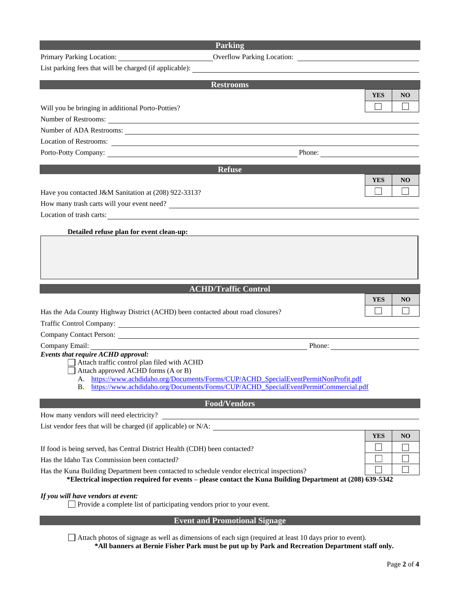## **Parking**

|  | Primary Parking Location |
|--|--------------------------|
|  |                          |

Primary Parking Location:

|  |  |  | List parking fees that will be charged (if applicable): |  |  |  |
|--|--|--|---------------------------------------------------------|--|--|--|
|  |  |  |                                                         |  |  |  |

| <b>Restrooms</b>                                                                                           |            |                |
|------------------------------------------------------------------------------------------------------------|------------|----------------|
|                                                                                                            | <b>YES</b> | N <sub>O</sub> |
| Will you be bringing in additional Porto-Potties?                                                          |            |                |
|                                                                                                            |            |                |
| Number of ADA Restrooms:                                                                                   |            |                |
| Location of Restrooms:                                                                                     |            |                |
|                                                                                                            |            |                |
| <b>Refuse</b>                                                                                              |            |                |
|                                                                                                            | <b>YES</b> | NO             |
| Have you contacted J&M Sanitation at (208) 922-3313?                                                       |            |                |
| How many trash carts will your event need?                                                                 |            |                |
| Location of trash carts:                                                                                   |            |                |
|                                                                                                            |            |                |
| Detailed refuse plan for event clean-up:                                                                   |            |                |
|                                                                                                            |            |                |
|                                                                                                            |            |                |
|                                                                                                            |            |                |
|                                                                                                            |            |                |
| <b>ACHD/Traffic Control</b>                                                                                |            |                |
|                                                                                                            | <b>YES</b> | NO.            |
| Has the Ada County Highway District (ACHD) been contacted about road closures?                             |            |                |
|                                                                                                            |            |                |
|                                                                                                            |            |                |
| Company Email:<br>$P$ hone: $P$                                                                            |            |                |
| Events that require ACHD approval:<br>Attach traffic control plan filed with ACHD                          |            |                |
| Attach approved ACHD forms (A or B)                                                                        |            |                |
| A. https://www.achdidaho.org/Documents/Forms/CUP/ACHD_SpecialEventPermitNonProfit.pdf                      |            |                |
| B. https://www.achdidaho.org/Documents/Forms/CUP/ACHD SpecialEventPermitCommercial.pdf                     |            |                |
| <b>Food/Vendors</b>                                                                                        |            |                |
| How many vendors will need electricity?                                                                    |            |                |
| List vendor fees that will be charged (if applicable) or N/A:                                              |            |                |
|                                                                                                            | <b>YES</b> | NO             |
| If food is being served, has Central District Health (CDH) been contacted?                                 |            |                |
| Has the Idaho Tax Commission been contacted?                                                               |            |                |
| Has the Kuna Building Department been contacted to schedule vendor electrical inspections?                 |            |                |
| *Electrical inspection required for events – please contact the Kuna Building Department at (208) 639-5342 |            |                |
| If you will have vendors at event:                                                                         |            |                |
| Provide a complete list of participating vendors prior to your event.                                      |            |                |
| <b>Event and Promotional Signage</b>                                                                       |            |                |

Attach photos of signage as well as dimensions of each sign (required at least 10 days prior to event). **\*All banners at Bernie Fisher Park must be put up by Park and Recreation Department staff only.**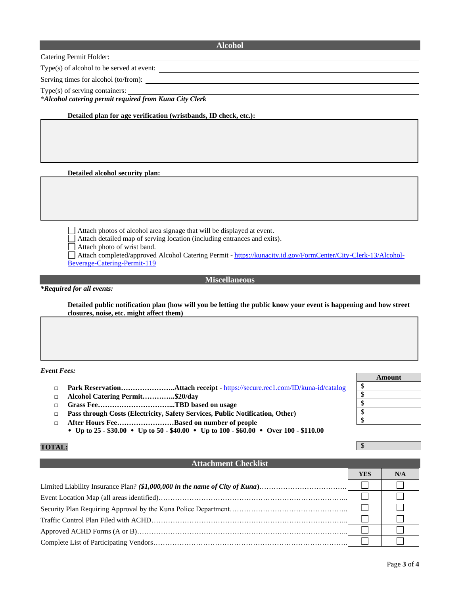### **Alcohol**

Catering Permit Holder:

Type(s) of alcohol to be served at event:

Serving times for alcohol (to/from):

Type(s) of serving containers:

\**Alcohol catering permit required from Kuna City Clerk*

**Detailed plan for age verification (wristbands, ID check, etc.):**

**Detailed alcohol security plan:**

Attach photos of alcohol area signage that will be displayed at event.

Attach detailed map of serving location (including entrances and exits).

Attach photo of wrist band.

Attach completed/approved Alcohol Catering Permit - [https://kunacity.id.gov/FormCenter/City-Clerk-13/Alcohol-](https://kunacity.id.gov/FormCenter/City-Clerk-13/Alcohol-Beverage-Catering-Permit-119)[Beverage-Catering-Permit-119](https://kunacity.id.gov/FormCenter/City-Clerk-13/Alcohol-Beverage-Catering-Permit-119)

**Miscellaneous**

*\*Required for all events:*

**Detailed public notification plan (how will you be letting the public know your event is happening and how street closures, noise, etc. might affect them)**

#### *Event Fees:*

- □ **Park Reservation…………………..Attach receipt** <https://secure.rec1.com/ID/kuna-id/catalog>
- □ **Alcohol Catering Permit…………..\$20/day**
- □ **Grass Fee…………………………...TBD based on usage**
- □ **Pass through Costs (Electricity, Safety Services, Public Notification, Other)**
- □ **After Hours Fee……………………Based on number of people**
- **Up to 25 - \$30.00 Up to 50 - \$40.00 Up to 100 - \$60.00 Over 100 - \$110.00**

### **TOTAL:**

## **Attachment Checklist**

| YES | N/A |
|-----|-----|
|     |     |
|     |     |
|     |     |
|     |     |
|     |     |
|     |     |

| Amount |  |  |  |  |
|--------|--|--|--|--|
| \$     |  |  |  |  |
| \$     |  |  |  |  |
| \$     |  |  |  |  |
| \$     |  |  |  |  |
| ፍ      |  |  |  |  |
|        |  |  |  |  |

\$